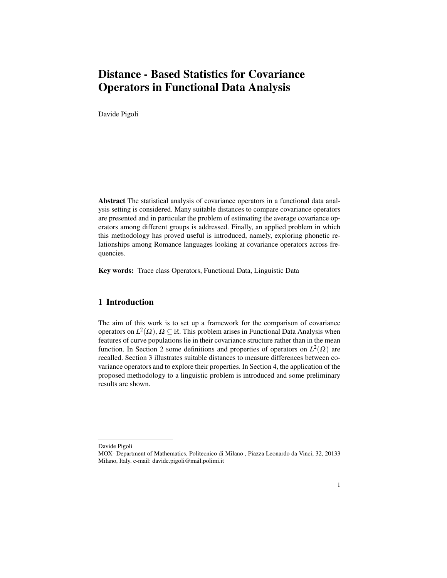# Distance - Based Statistics for Covariance Operators in Functional Data Analysis

Davide Pigoli

Abstract The statistical analysis of covariance operators in a functional data analysis setting is considered. Many suitable distances to compare covariance operators are presented and in particular the problem of estimating the average covariance operators among different groups is addressed. Finally, an applied problem in which this methodology has proved useful is introduced, namely, exploring phonetic relationships among Romance languages looking at covariance operators across frequencies.

Key words: Trace class Operators, Functional Data, Linguistic Data

# 1 Introduction

The aim of this work is to set up a framework for the comparison of covariance operators on  $L^2(\Omega)$ ,  $\Omega \subseteq \mathbb{R}$ . This problem arises in Functional Data Analysis when features of curve populations lie in their covariance structure rather than in the mean function. In Section 2 some definitions and properties of operators on  $L^2(\Omega)$  are recalled. Section 3 illustrates suitable distances to measure differences between covariance operators and to explore their properties. In Section 4, the application of the proposed methodology to a linguistic problem is introduced and some preliminary results are shown.

Davide Pigoli

MOX- Department of Mathematics, Politecnico di Milano , Piazza Leonardo da Vinci, 32, 20133 Milano, Italy. e-mail: davide.pigoli@mail.polimi.it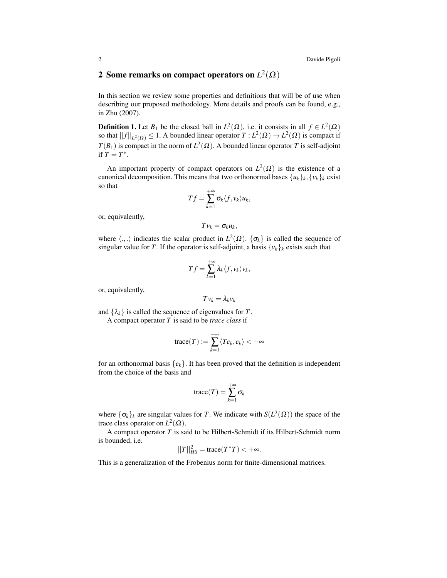# **2** Some remarks on compact operators on  $L^2(\Omega)$

In this section we review some properties and definitions that will be of use when describing our proposed methodology. More details and proofs can be found, e.g., in Zhu (2007).

**Definition 1.** Let  $B_1$  be the closed ball in  $L^2(\Omega)$ , i.e. it consists in all  $f \in L^2(\Omega)$ so that  $||f||_{L^2(\Omega)} \le 1$ . A bounded linear operator  $T: L^2(\Omega) \to L^2(\Omega)$  is compact if  $T(B_1)$  is compact in the norm of  $L^2(\Omega)$ . A bounded linear operator *T* is self-adjoint if  $T = T^*$ .

An important property of compact operators on  $L^2(\Omega)$  is the existence of a canonical decomposition. This means that two orthonormal bases  $\{u_k\}_k, \{v_k\}_k$  exist so that

$$
Tf=\sum_{k=1}^{+\infty}\sigma_k\langle f,v_k\rangle u_k,
$$

or, equivalently,

$$
Tv_k=\sigma_ku_k,
$$

where  $\langle .,.\rangle$  indicates the scalar product in  $L^2(\Omega)$ .  $\{\sigma_k\}$  is called the sequence of singular value for *T*. If the operator is self-adjoint, a basis  $\{v_k\}_k$  exists such that

$$
Tf = \sum_{k=1}^{+\infty} \lambda_k \langle f, v_k \rangle v_k,
$$

or, equivalently,

$$
Tv_k=\lambda_kv_k
$$

and  $\{\lambda_k\}$  is called the sequence of eigenvalues for *T*. A compact operator *T* is said to be *trace class* if

$$
\operatorname{trace}(T) := \sum_{k=1}^{+\infty} \langle Te_k, e_k \rangle < +\infty
$$

for an orthonormal basis  ${e_k}$ . It has been proved that the definition is independent from the choice of the basis and

$$
\operatorname{trace}(T)=\sum_{k=1}^{+\infty}\sigma_k
$$

where  $\{\sigma_k\}_k$  are singular values for *T*. We indicate with  $S(L^2(\Omega))$  the space of the trace class operator on  $L^2(\Omega)$ .

A compact operator *T* is said to be Hilbert-Schmidt if its Hilbert-Schmidt norm is bounded, i.e.

$$
||T||_{HS}^2 = \text{trace}(T^*T) < +\infty.
$$

This is a generalization of the Frobenius norm for finite-dimensional matrices.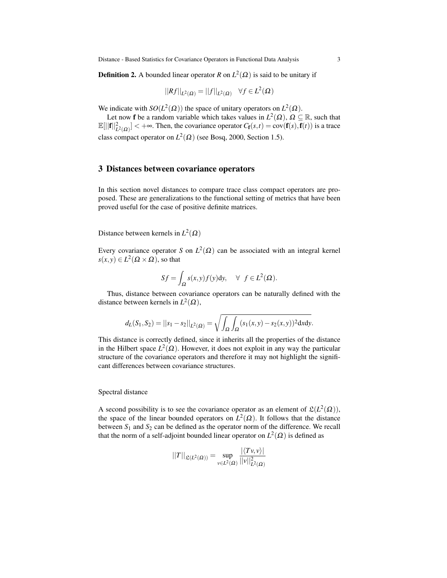**Definition 2.** A bounded linear operator *R* on  $L^2(\Omega)$  is said to be unitary if

$$
||Rf||_{L^2(\Omega)} = ||f||_{L^2(\Omega)} \quad \forall f \in L^2(\Omega)
$$

We indicate with  $SO(L^2(\Omega))$  the space of unitary operators on  $L^2(\Omega)$ .

Let now **f** be a random variable which takes values in  $L^2(\Omega)$ ,  $\Omega \subseteq \mathbb{R}$ , such that  $\mathbb{E}[||\mathbf{f}||_{L^2(\Omega)}^2] < +\infty$ . Then, the covariance operator  $C_{\mathbf{f}}(s,t) = \text{cov}(\mathbf{f}(s), \mathbf{f}(t))$  is a trace class compact operator on  $L^2(\Omega)$  (see Bosq, 2000, Section 1.5).

#### 3 Distances between covariance operators

In this section novel distances to compare trace class compact operators are proposed. These are generalizations to the functional setting of metrics that have been proved useful for the case of positive definite matrices.

Distance between kernels in  $L^2(\Omega)$ 

Every covariance operator *S* on  $L^2(\Omega)$  can be associated with an integral kernel  $s(x, y) \in L^2(\Omega \times \Omega)$ , so that

$$
Sf = \int_{\Omega} s(x, y) f(y) dy, \quad \forall \ f \in L^{2}(\Omega).
$$

Thus, distance between covariance operators can be naturally defined with the distance between kernels in  $L^2(\Omega)$ ,

$$
d_L(S_1, S_2) = ||s_1 - s_2||_{L^2(\Omega)} = \sqrt{\int_{\Omega} \int_{\Omega} (s_1(x, y) - s_2(x, y))^2 dxdy}.
$$

This distance is correctly defined, since it inherits all the properties of the distance in the Hilbert space  $L^2(\Omega)$ . However, it does not exploit in any way the particular structure of the covariance operators and therefore it may not highlight the significant differences between covariance structures.

#### Spectral distance

A second possibility is to see the covariance operator as an element of  $\mathfrak{L}(L^2(\Omega))$ , the space of the linear bounded operators on  $L^2(\Omega)$ . It follows that the distance between  $S_1$  and  $S_2$  can be defined as the operator norm of the difference. We recall that the norm of a self-adjoint bounded linear operator on  $L^2(\Omega)$  is defined as

$$
||T||_{\mathfrak{L}(L^2(\Omega))} = \sup_{v \in L^2(\Omega)} \frac{|\langle Tv, v \rangle|}{||v||_{L^2(\Omega)}^2}
$$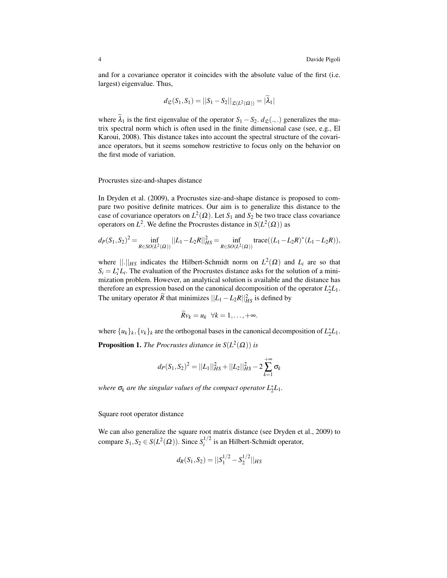and for a covariance operator it coincides with the absolute value of the first (i.e. largest) eigenvalue. Thus,

$$
d_{\mathfrak{L}}(S_1, S_1) = ||S_1 - S_2||_{\mathfrak{L}(L^2(\Omega))} = |\lambda_1|
$$

where  $\lambda_1$  is the first eigenvalue of the operator  $S_1 - S_2$ .  $d_{\mathcal{L}}(.,.)$  generalizes the matrix spectral norm which is often used in the finite dimensional case (see, e.g., El Karoui, 2008). This distance takes into account the spectral structure of the covariance operators, but it seems somehow restrictive to focus only on the behavior on the first mode of variation.

Procrustes size-and-shapes distance

In Dryden et al. (2009), a Procrustes size-and-shape distance is proposed to compare two positive definite matrices. Our aim is to generalize this distance to the case of covariance operators on  $L^2(\Omega)$ . Let  $S_1$  and  $S_2$  be two trace class covariance operators on  $L^2$ . We define the Procrustes distance in  $S(L^2(\Omega))$  as

$$
d_P(S_1, S_2)^2 = \inf_{R \in SO(L^2(\Omega))} ||L_1 - L_2 R||_{HS}^2 = \inf_{R \in SO(L^2(\Omega))} \text{trace}((L_1 - L_2 R)^*(L_1 - L_2 R)),
$$

where  $\|\cdot\|_{HS}$  indicates the Hilbert-Schmidt norm on  $L^2(\Omega)$  and  $L_i$  are so that  $S_i = L_i^* L_i$ . The evaluation of the Procrustes distance asks for the solution of a minimization problem. However, an analytical solution is available and the distance has therefore an expression based on the canonical decomposition of the operator  $L_2^*L_1$ . The unitary operator  $\widetilde{R}$  that minimizes  $||L_1 - L_2R||_{HS}^2$  is defined by

$$
\widetilde{R}v_k=u_k\ \ \forall k=1,\ldots,+\infty.
$$

where  $\{u_k\}_k, \{v_k\}_k$  are the orthogonal bases in the canonical decomposition of  $L_2^*L_1$ .

**Proposition 1.** *The Procrustes distance in*  $S(L^2(\Omega))$  *is* 

$$
d_P(S_1, S_2)^2 = ||L_1||_{HS}^2 + ||L_2||_{HS}^2 - 2\sum_{k=1}^{+\infty} \sigma_k
$$

*where*  $\sigma_k$  are the singular values of the compact operator  $L_2^*L_1$ .

Square root operator distance

We can also generalize the square root matrix distance (see Dryden et al., 2009) to compare  $S_1, S_2 \in S(L^2(\Omega))$ . Since  $S_i^{1/2}$  $i^{1/2}$  is an Hilbert-Schmidt operator,

$$
d_R(S_1, S_2) = ||S_1^{1/2} - S_2^{1/2}||_{HS}
$$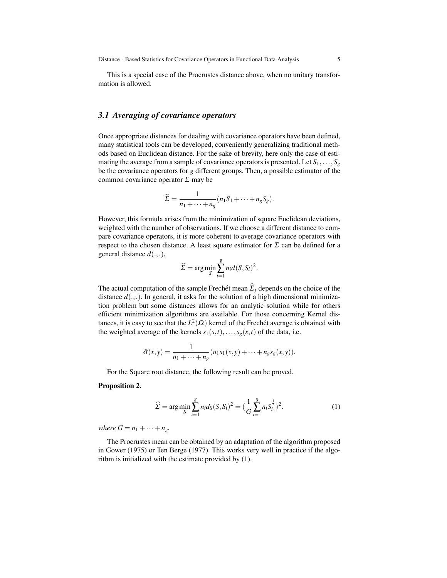This is a special case of the Procrustes distance above, when no unitary transformation is allowed.

### *3.1 Averaging of covariance operators*

Once appropriate distances for dealing with covariance operators have been defined, many statistical tools can be developed, conveniently generalizing traditional methods based on Euclidean distance. For the sake of brevity, here only the case of estimating the average from a sample of covariance operators is presented. Let  $S_1, \ldots, S_g$ be the covariance operators for *g* different groups. Then, a possible estimator of the common covariance operator  $\Sigma$  may be

$$
\widehat{\Sigma} = \frac{1}{n_1 + \dots + n_g} (n_1 S_1 + \dots + n_g S_g).
$$

However, this formula arises from the minimization of square Euclidean deviations, weighted with the number of observations. If we choose a different distance to compare covariance operators, it is more coherent to average covariance operators with respect to the chosen distance. A least square estimator for  $\Sigma$  can be defined for a general distance *d*(.,.),

$$
\widehat{\Sigma} = \arg\min_{S} \sum_{i=1}^{g} n_i d(S, S_i)^2.
$$

The actual computation of the sample Frechet mean  $\hat{\Sigma}_j$  depends on the choice of the distance  $d(.,.)$ . In general, it asks for the solution of a high dimensional minimization problem but some distances allows for an analytic solution while for others efficient minimization algorithms are available. For those concerning Kernel distances, it is easy to see that the  $L^2(\Omega)$  kernel of the Frechét average is obtained with the weighted average of the kernels  $s_1(s,t),...,s_g(s,t)$  of the data, i.e.

$$
\hat{\sigma}(x,y) = \frac{1}{n_1 + \dots + n_g}(n_1s_1(x,y) + \dots + n_g s_g(x,y)).
$$

For the Square root distance, the following result can be proved.

#### Proposition 2.

$$
\widehat{\Sigma} = \arg\min_{S} \sum_{i=1}^{g} n_i d_S(S, S_i)^2 = \left(\frac{1}{G} \sum_{i=1}^{g} n_i S_i^{\frac{1}{2}}\right)^2.
$$
 (1)

*where*  $G = n_1 + \cdots + n_g$ .

The Procrustes mean can be obtained by an adaptation of the algorithm proposed in Gower (1975) or Ten Berge (1977). This works very well in practice if the algorithm is initialized with the estimate provided by (1).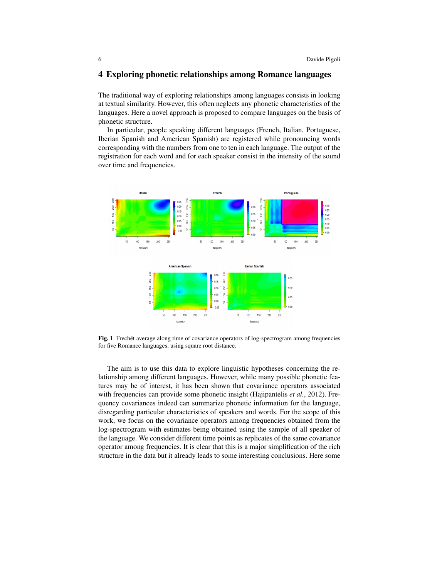#### 4 Exploring phonetic relationships among Romance languages

The traditional way of exploring relationships among languages consists in looking at textual similarity. However, this often neglects any phonetic characteristics of the languages. Here a novel approach is proposed to compare languages on the basis of phonetic structure.

In particular, people speaking different languages (French, Italian, Portuguese, Iberian Spanish and American Spanish) are registered while pronouncing words corresponding with the numbers from one to ten in each language. The output of the registration for each word and for each speaker consist in the intensity of the sound over time and frequencies.



Fig. 1 Frechet average along time of covariance operators of log-spectrogram among frequencies for five Romance languages, using square root distance.

The aim is to use this data to explore linguistic hypotheses concerning the relationship among different languages. However, while many possible phonetic features may be of interest, it has been shown that covariance operators associated with frequencies can provide some phonetic insight (Hajipantelis *et al.*, 2012). Frequency covariances indeed can summarize phonetic information for the language, disregarding particular characteristics of speakers and words. For the scope of this work, we focus on the covariance operators among frequencies obtained from the log-spectrogram with estimates being obtained using the sample of all speaker of the language. We consider different time points as replicates of the same covariance operator among frequencies. It is clear that this is a major simplification of the rich structure in the data but it already leads to some interesting conclusions. Here some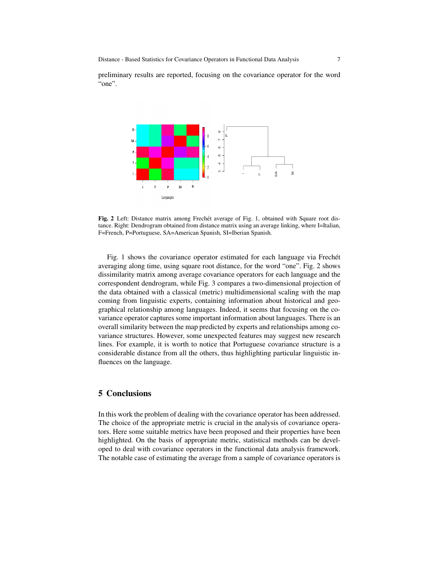preliminary results are reported, focusing on the covariance operator for the word "one".



Fig. 2 Left: Distance matrix among Frechet average of Fig. 1, obtained with Square root distance. Right: Dendrogram obtained from distance matrix using an average linking, where I=Italian, F=French, P=Portuguese, SA=American Spanish, SI=Iberian Spanish.

Fig. 1 shows the covariance operator estimated for each language via Frechét averaging along time, using square root distance, for the word "one". Fig. 2 shows dissimilarity matrix among average covariance operators for each language and the correspondent dendrogram, while Fig. 3 compares a two-dimensional projection of the data obtained with a classical (metric) multidimensional scaling with the map coming from linguistic experts, containing information about historical and geographical relationship among languages. Indeed, it seems that focusing on the covariance operator captures some important information about languages. There is an overall similarity between the map predicted by experts and relationships among covariance structures. However, some unexpected features may suggest new research lines. For example, it is worth to notice that Portuguese covariance structure is a considerable distance from all the others, thus highlighting particular linguistic influences on the language.

## 5 Conclusions

In this work the problem of dealing with the covariance operator has been addressed. The choice of the appropriate metric is crucial in the analysis of covariance operators. Here some suitable metrics have been proposed and their properties have been highlighted. On the basis of appropriate metric, statistical methods can be developed to deal with covariance operators in the functional data analysis framework. The notable case of estimating the average from a sample of covariance operators is